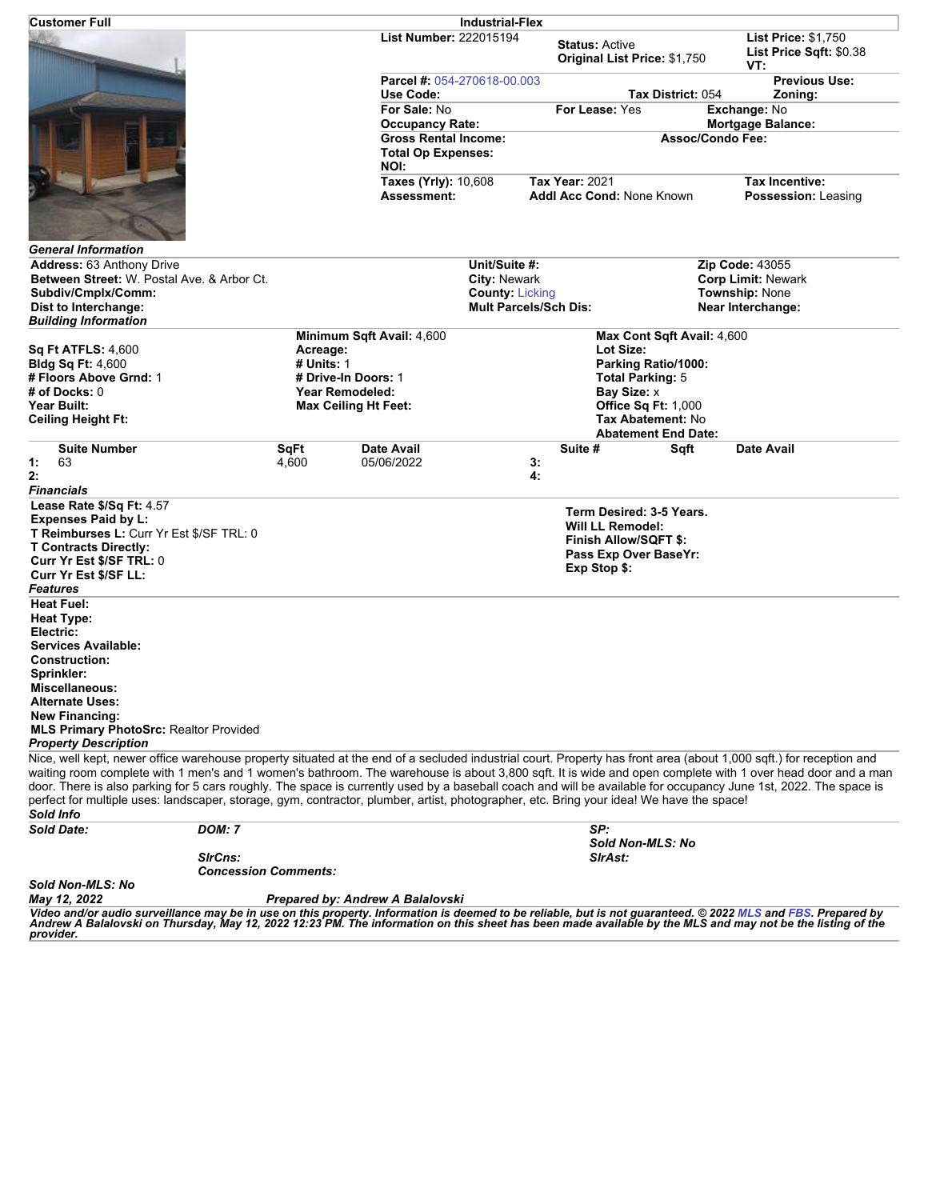| <b>Customer Full</b>                                                                                                                                                                                                                                                                                                                                                                                                                                                                                                                                                                                                                                          |                                        |                                          | <b>Industrial-Flex</b>                                           |                                                                                                                       |                                                                        |                                                                       |  |
|---------------------------------------------------------------------------------------------------------------------------------------------------------------------------------------------------------------------------------------------------------------------------------------------------------------------------------------------------------------------------------------------------------------------------------------------------------------------------------------------------------------------------------------------------------------------------------------------------------------------------------------------------------------|----------------------------------------|------------------------------------------|------------------------------------------------------------------|-----------------------------------------------------------------------------------------------------------------------|------------------------------------------------------------------------|-----------------------------------------------------------------------|--|
|                                                                                                                                                                                                                                                                                                                                                                                                                                                                                                                                                                                                                                                               |                                        | <b>List Number: 222015194</b>            |                                                                  | <b>Status: Active</b><br>Original List Price: \$1,750                                                                 |                                                                        | <b>List Price: \$1,750</b><br>List Price Sqft: \$0.38<br>VT:          |  |
|                                                                                                                                                                                                                                                                                                                                                                                                                                                                                                                                                                                                                                                               |                                        | Parcel #: 054-270618-00.003<br>Use Code: |                                                                  |                                                                                                                       | Tax District: 054                                                      | <b>Previous Use:</b><br>Zoning:                                       |  |
|                                                                                                                                                                                                                                                                                                                                                                                                                                                                                                                                                                                                                                                               |                                        | For Sale: No<br><b>Occupancy Rate:</b>   |                                                                  | For Lease: Yes                                                                                                        |                                                                        | Exchange: No<br><b>Mortgage Balance:</b>                              |  |
|                                                                                                                                                                                                                                                                                                                                                                                                                                                                                                                                                                                                                                                               |                                        |                                          | <b>Gross Rental Income:</b><br><b>Total Op Expenses:</b><br>NOI: |                                                                                                                       | <b>Assoc/Condo Fee:</b>                                                |                                                                       |  |
|                                                                                                                                                                                                                                                                                                                                                                                                                                                                                                                                                                                                                                                               |                                        | Taxes (Yrly): 10,608<br>Assessment:      |                                                                  | <b>Tax Year: 2021</b><br>Addl Acc Cond: None Known                                                                    |                                                                        | Tax Incentive:<br>Possession: Leasing                                 |  |
| <b>General Information</b>                                                                                                                                                                                                                                                                                                                                                                                                                                                                                                                                                                                                                                    |                                        |                                          |                                                                  |                                                                                                                       |                                                                        |                                                                       |  |
| <b>Address: 63 Anthony Drive</b><br>Between Street: W. Postal Ave. & Arbor Ct.<br>Subdiv/Cmplx/Comm:                                                                                                                                                                                                                                                                                                                                                                                                                                                                                                                                                          |                                        |                                          | Unit/Suite #:<br>City: Newark<br><b>County: Licking</b>          |                                                                                                                       |                                                                        | <b>Zip Code: 43055</b><br><b>Corp Limit: Newark</b><br>Township: None |  |
| Dist to Interchange:<br><b>Building Information</b>                                                                                                                                                                                                                                                                                                                                                                                                                                                                                                                                                                                                           |                                        |                                          | <b>Mult Parcels/Sch Dis:</b>                                     |                                                                                                                       |                                                                        | Near Interchange:                                                     |  |
| <b>Sq Ft ATFLS: 4,600</b><br><b>Bldg Sq Ft: 4,600</b>                                                                                                                                                                                                                                                                                                                                                                                                                                                                                                                                                                                                         | Acreage:<br># Units: 1                 | Minimum Sqft Avail: 4,600                |                                                                  | Max Cont Sqft Avail: 4,600<br>Lot Size:<br>Parking Ratio/1000:                                                        |                                                                        |                                                                       |  |
| # Floors Above Grnd: 1<br># of Docks: 0                                                                                                                                                                                                                                                                                                                                                                                                                                                                                                                                                                                                                       | # Drive-In Doors: 1<br>Year Remodeled: |                                          |                                                                  | <b>Total Parking: 5</b><br>Bay Size: x                                                                                |                                                                        |                                                                       |  |
| Year Built:<br><b>Ceiling Height Ft:</b>                                                                                                                                                                                                                                                                                                                                                                                                                                                                                                                                                                                                                      | <b>Max Ceiling Ht Feet:</b>            |                                          |                                                                  |                                                                                                                       | Office Sq Ft: 1,000<br>Tax Abatement: No<br><b>Abatement End Date:</b> |                                                                       |  |
| <b>Suite Number</b><br>63<br>1:<br>2:                                                                                                                                                                                                                                                                                                                                                                                                                                                                                                                                                                                                                         | SqFt<br>4,600                          | Date Avail<br>05/06/2022                 |                                                                  | Suite #<br>3:<br>4:                                                                                                   | Sqft                                                                   | <b>Date Avail</b>                                                     |  |
| <b>Financials</b>                                                                                                                                                                                                                                                                                                                                                                                                                                                                                                                                                                                                                                             |                                        |                                          |                                                                  |                                                                                                                       |                                                                        |                                                                       |  |
| Lease Rate \$/Sq Ft: 4.57<br><b>Expenses Paid by L:</b><br>T Reimburses L: Curr Yr Est \$/SF TRL: 0<br><b>T Contracts Directly:</b><br>Curr Yr Est \$/SF TRL: 0<br>Curr Yr Est \$/SF LL:<br>Features                                                                                                                                                                                                                                                                                                                                                                                                                                                          |                                        |                                          |                                                                  | Term Desired: 3-5 Years.<br><b>Will LL Remodel:</b><br>Finish Allow/SQFT \$:<br>Pass Exp Over BaseYr:<br>Exp Stop \$: |                                                                        |                                                                       |  |
| <b>Heat Fuel:</b><br>Heat Type:<br>Electric:                                                                                                                                                                                                                                                                                                                                                                                                                                                                                                                                                                                                                  |                                        |                                          |                                                                  |                                                                                                                       |                                                                        |                                                                       |  |
| <b>Services Available:</b><br><b>Construction:</b><br>Sprinkler:<br>Miscellaneous:                                                                                                                                                                                                                                                                                                                                                                                                                                                                                                                                                                            |                                        |                                          |                                                                  |                                                                                                                       |                                                                        |                                                                       |  |
| <b>Alternate Uses:</b><br><b>New Financing:</b><br><b>MLS Primary PhotoSrc: Realtor Provided</b><br><b>Property Description</b>                                                                                                                                                                                                                                                                                                                                                                                                                                                                                                                               |                                        |                                          |                                                                  |                                                                                                                       |                                                                        |                                                                       |  |
| Nice, well kept, newer office warehouse property situated at the end of a secluded industrial court. Property has front area (about 1,000 sqft.) for reception and<br>waiting room complete with 1 men's and 1 women's bathroom. The warehouse is about 3,800 sqft. It is wide and open complete with 1 over head door and a man<br>door. There is also parking for 5 cars roughly. The space is currently used by a baseball coach and will be available for occupancy June 1st, 2022. The space is<br>perfect for multiple uses: landscaper, storage, gym, contractor, plumber, artist, photographer, etc. Bring your idea! We have the space!<br>Sold Info |                                        |                                          |                                                                  |                                                                                                                       |                                                                        |                                                                       |  |
| <b>DOM: 7</b><br><b>Sold Date:</b>                                                                                                                                                                                                                                                                                                                                                                                                                                                                                                                                                                                                                            |                                        |                                          |                                                                  | SP:                                                                                                                   |                                                                        |                                                                       |  |
| SirCns:<br><b>Concession Comments:</b><br>Sold Non-MLS: No                                                                                                                                                                                                                                                                                                                                                                                                                                                                                                                                                                                                    |                                        |                                          |                                                                  | <b>SirAst:</b>                                                                                                        | Sold Non-MLS: No                                                       |                                                                       |  |
| May 12, 2022<br>Video and/or audio surveillance may be in use on this property Information is deemed to be reliable but is not quaranteed © 2022 MLS and FRS, Prepared by                                                                                                                                                                                                                                                                                                                                                                                                                                                                                     |                                        | Prepared by: Andrew A Balalovski         |                                                                  |                                                                                                                       |                                                                        |                                                                       |  |

Video and/or audio surveillance may be in use on this property. Information is deemed to be reliable, but is not guaranteed. © 2022 [MLS](http://www.columbusrealtors.com/) and [FBS](http://www.flexmls.com/copyright_notice.html?2). Prepared by<br>Andrew A Balalovski on Thursday, May 12, 2022 12:23 PM. The info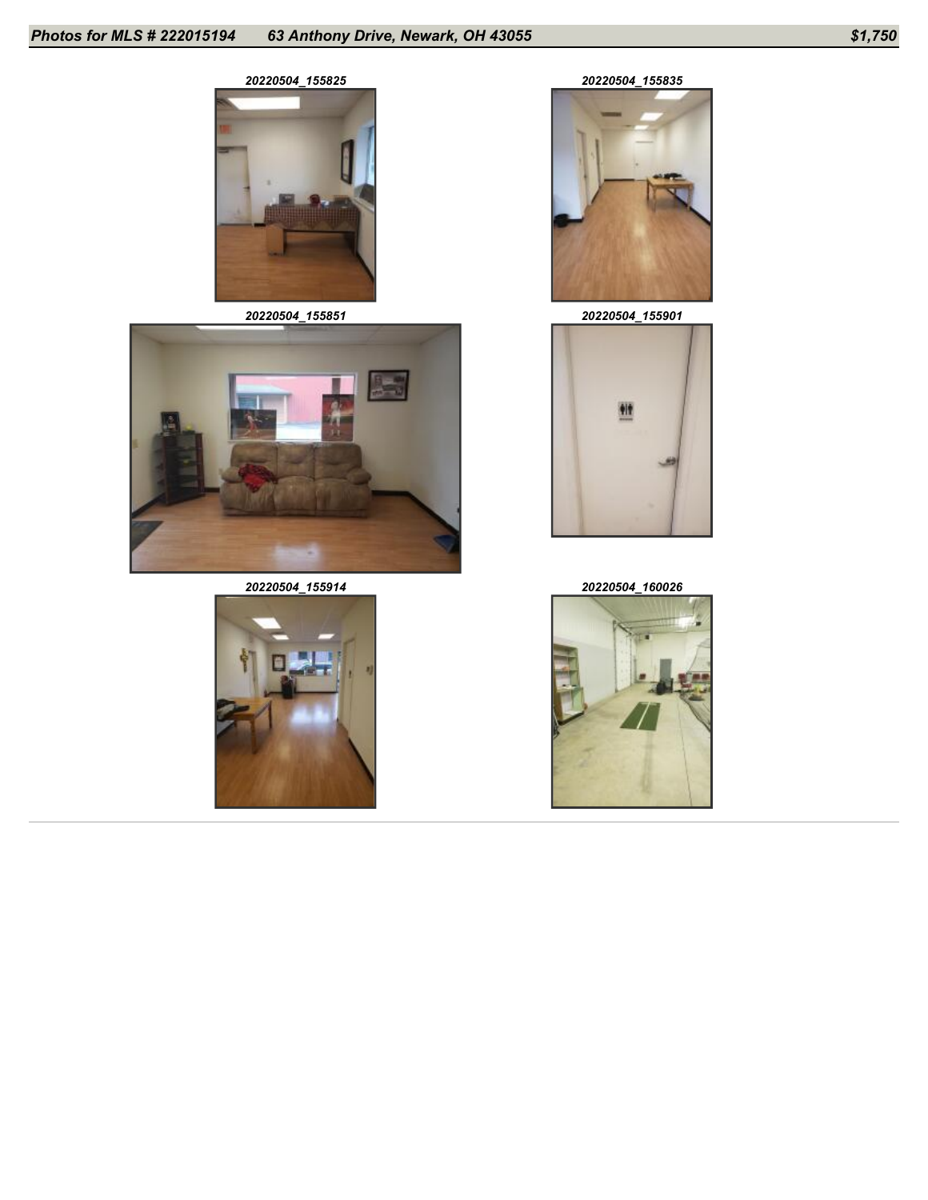



*20220504\_155914 20220504\_160026*





*20220504\_155851 20220504\_155901*



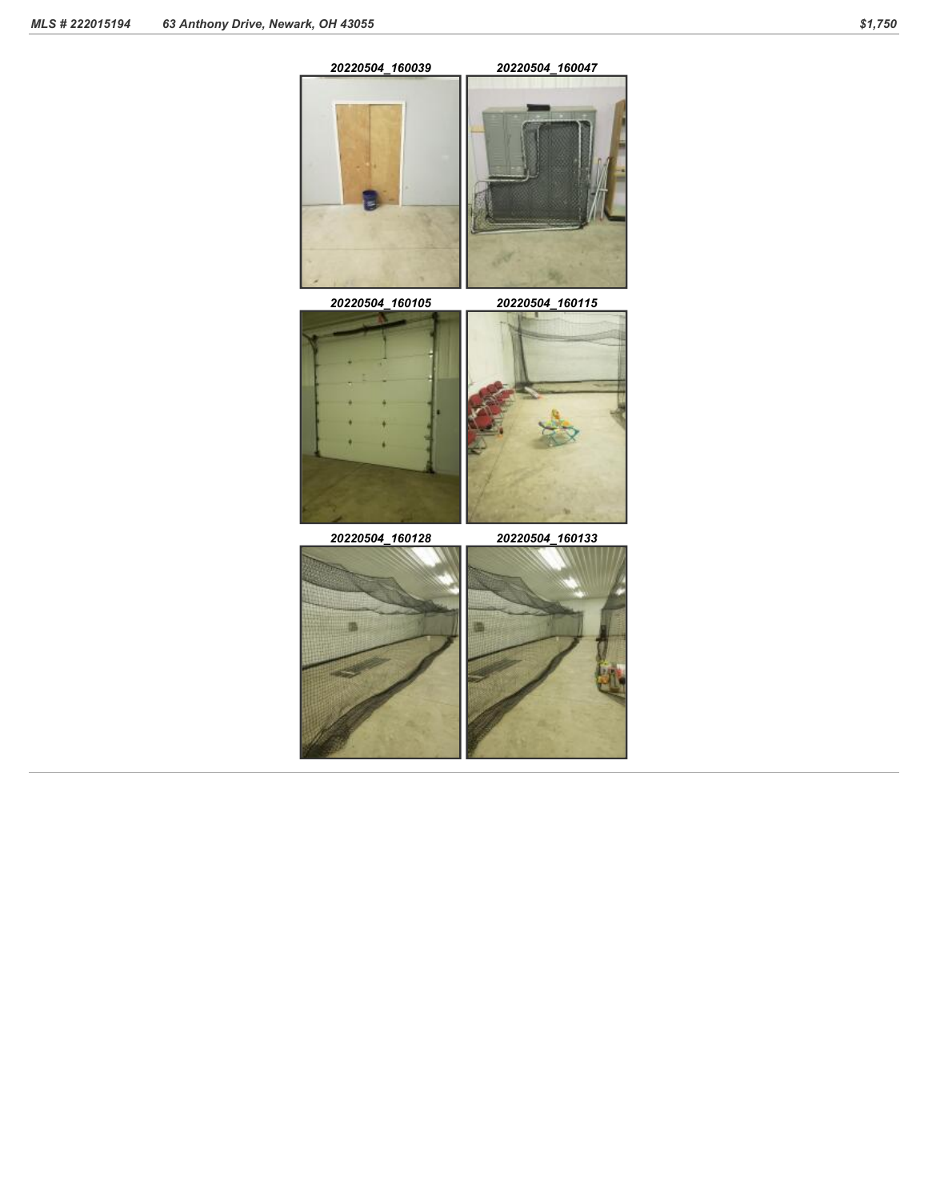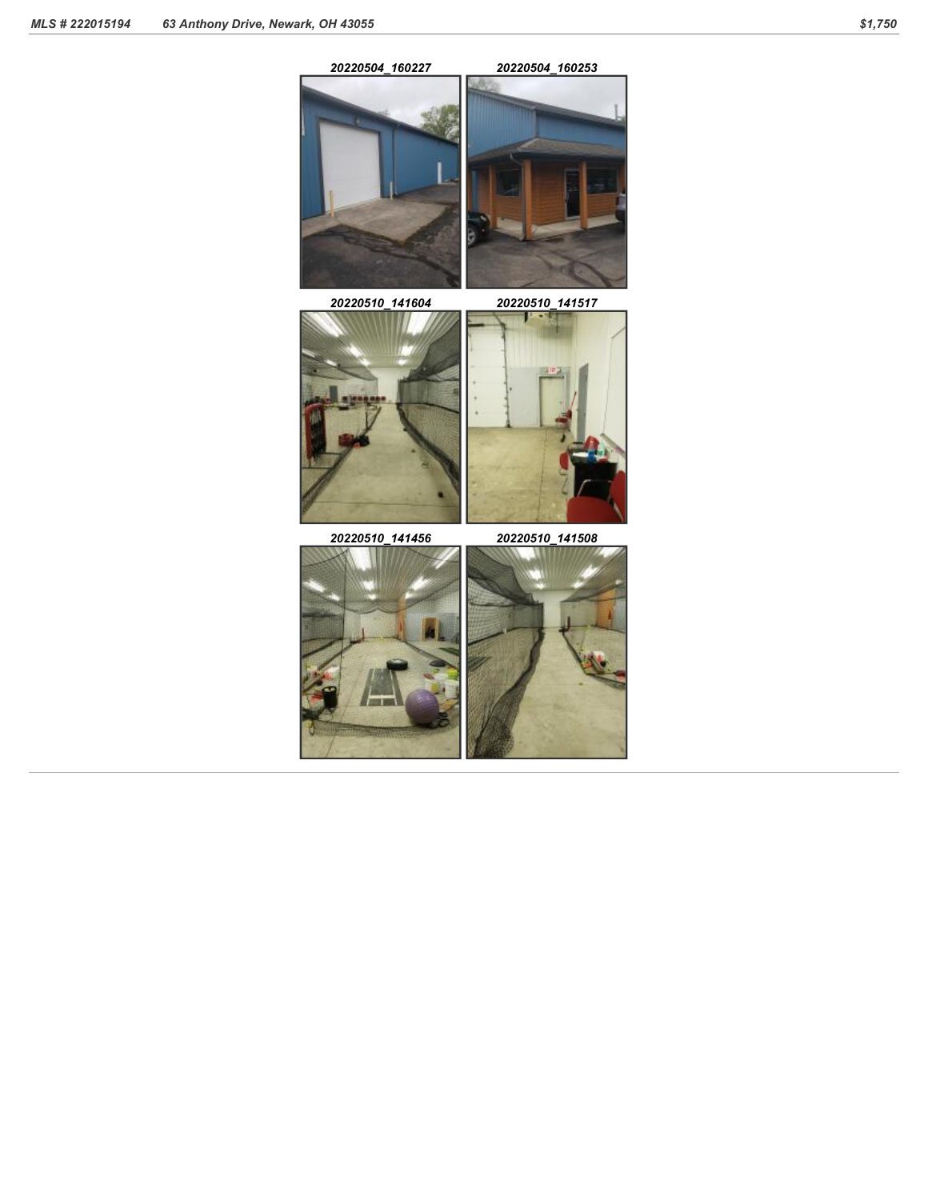*20220504\_160227 20220504\_160253*



*20220510\_141604 20220510\_141517*



*20220510\_141456 20220510\_141508*